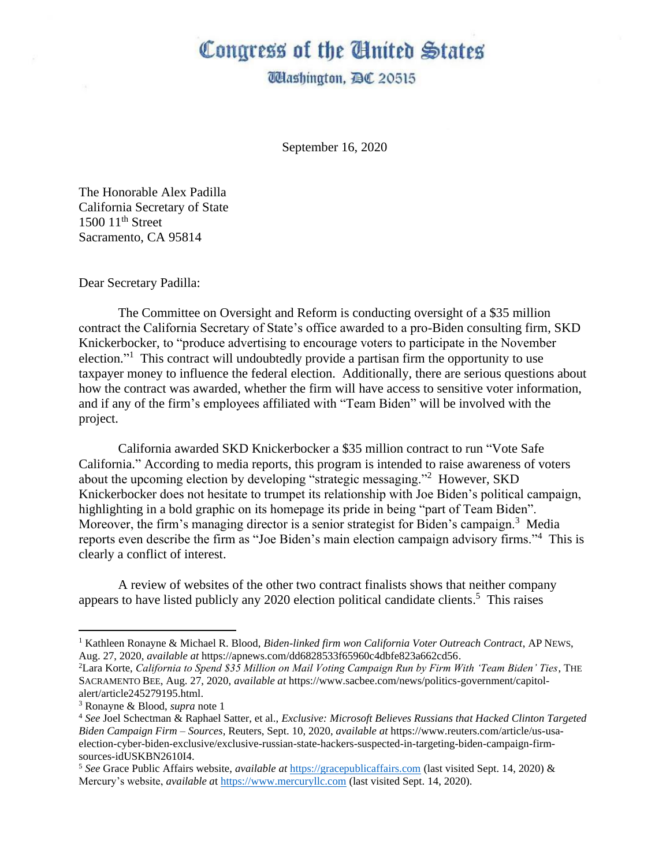## Congress of the Ginited States

**Washington, AC 20515** 

September 16, 2020

The Honorable Alex Padilla California Secretary of State  $1500$   $11<sup>th</sup>$  Street Sacramento, CA 95814

Dear Secretary Padilla:

The Committee on Oversight and Reform is conducting oversight of a \$35 million contract the California Secretary of State's office awarded to a pro-Biden consulting firm, SKD Knickerbocker, to "produce advertising to encourage voters to participate in the November election."<sup>1</sup> This contract will undoubtedly provide a partisan firm the opportunity to use taxpayer money to influence the federal election. Additionally, there are serious questions about how the contract was awarded, whether the firm will have access to sensitive voter information, and if any of the firm's employees affiliated with "Team Biden" will be involved with the project.

California awarded SKD Knickerbocker a \$35 million contract to run "Vote Safe California." According to media reports, this program is intended to raise awareness of voters about the upcoming election by developing "strategic messaging."<sup>2</sup> However, SKD Knickerbocker does not hesitate to trumpet its relationship with Joe Biden's political campaign, highlighting in a bold graphic on its homepage its pride in being "part of Team Biden". Moreover, the firm's managing director is a senior strategist for Biden's campaign.<sup>3</sup> Media reports even describe the firm as "Joe Biden's main election campaign advisory firms."<sup>4</sup> This is clearly a conflict of interest.

A review of websites of the other two contract finalists shows that neither company appears to have listed publicly any 2020 election political candidate clients. 5 This raises

<sup>1</sup> Kathleen Ronayne & Michael R. Blood, *Biden-linked firm won California Voter Outreach Contract*, AP NEWS, Aug. 27, 2020, *available at* https://apnews.com/dd6828533f65960c4dbfe823a662cd56.

<sup>2</sup>Lara Korte, *California to Spend \$35 Million on Mail Voting Campaign Run by Firm With 'Team Biden' Ties*, THE SACRAMENTO BEE, Aug. 27, 2020, *available at* https://www.sacbee.com/news/politics-government/capitolalert/article245279195.html.

<sup>3</sup> Ronayne & Blood, *supra* note 1

<sup>4</sup> *See* Joel Schectman & Raphael Satter, et al., *Exclusive: Microsoft Believes Russians that Hacked Clinton Targeted Biden Campaign Firm – Sources*, Reuters, Sept. 10, 2020, *available at* https://www.reuters.com/article/us-usaelection-cyber-biden-exclusive/exclusive-russian-state-hackers-suspected-in-targeting-biden-campaign-firmsources-idUSKBN2610I4.

<sup>5</sup> *See* Grace Public Affairs website, *available at* [https://gracepublicaffairs.com](https://gracepublicaffairs.com/) (last visited Sept. 14, 2020) & Mercury's website, *available a*[t https://www.mercuryllc.com](https://www.mercuryllc.com/) (last visited Sept. 14, 2020).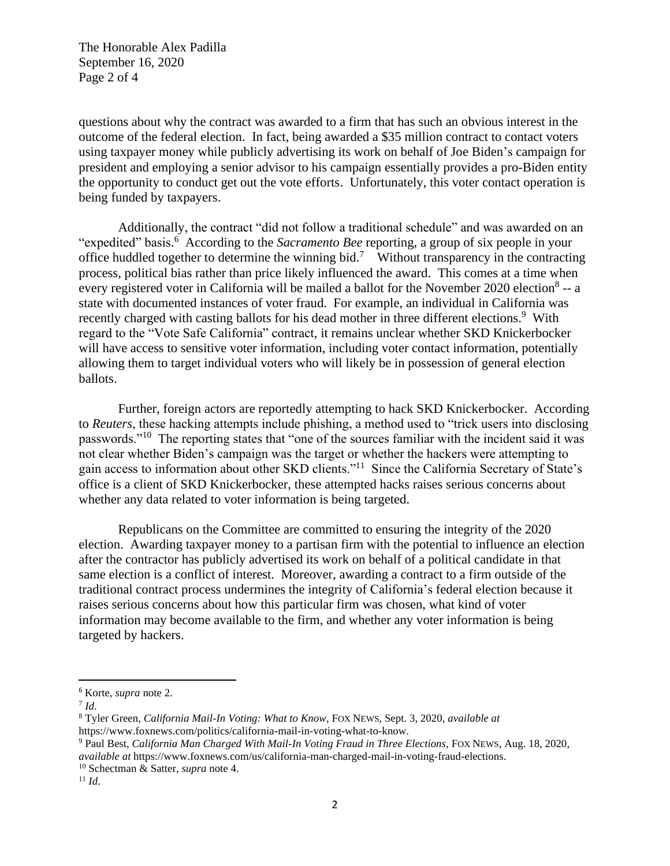The Honorable Alex Padilla September 16, 2020 Page 2 of 4

questions about why the contract was awarded to a firm that has such an obvious interest in the outcome of the federal election. In fact, being awarded a \$35 million contract to contact voters using taxpayer money while publicly advertising its work on behalf of Joe Biden's campaign for president and employing a senior advisor to his campaign essentially provides a pro-Biden entity the opportunity to conduct get out the vote efforts. Unfortunately, this voter contact operation is being funded by taxpayers.

Additionally, the contract "did not follow a traditional schedule" and was awarded on an "expedited" basis. <sup>6</sup> According to the *Sacramento Bee* reporting, a group of six people in your office huddled together to determine the winning bid.<sup>7</sup> Without transparency in the contracting process, political bias rather than price likely influenced the award. This comes at a time when every registered voter in California will be mailed a ballot for the November 2020 election<sup>8</sup> -- a state with documented instances of voter fraud. For example, an individual in California was recently charged with casting ballots for his dead mother in three different elections.<sup>9</sup> With regard to the "Vote Safe California" contract, it remains unclear whether SKD Knickerbocker will have access to sensitive voter information, including voter contact information, potentially allowing them to target individual voters who will likely be in possession of general election ballots.

Further, foreign actors are reportedly attempting to hack SKD Knickerbocker. According to *Reuters*, these hacking attempts include phishing, a method used to "trick users into disclosing passwords."<sup>10</sup> The reporting states that "one of the sources familiar with the incident said it was not clear whether Biden's campaign was the target or whether the hackers were attempting to gain access to information about other SKD clients."<sup>11</sup> Since the California Secretary of State's office is a client of SKD Knickerbocker, these attempted hacks raises serious concerns about whether any data related to voter information is being targeted.

Republicans on the Committee are committed to ensuring the integrity of the 2020 election. Awarding taxpayer money to a partisan firm with the potential to influence an election after the contractor has publicly advertised its work on behalf of a political candidate in that same election is a conflict of interest. Moreover, awarding a contract to a firm outside of the traditional contract process undermines the integrity of California's federal election because it raises serious concerns about how this particular firm was chosen, what kind of voter information may become available to the firm, and whether any voter information is being targeted by hackers.

<sup>6</sup> Korte, *supra* note 2.

<sup>7</sup> *Id*.

<sup>8</sup> Tyler Green, *California Mail-In Voting: What to Know*, FOX NEWS, Sept. 3, 2020, *available at* https://www.foxnews.com/politics/california-mail-in-voting-what-to-know.

<sup>9</sup> Paul Best, *California Man Charged With Mail-In Voting Fraud in Three Elections*, FOX NEWS, Aug. 18, 2020, *available at* https://www.foxnews.com/us/california-man-charged-mail-in-voting-fraud-elections.

<sup>10</sup> Schectman & Satter*, supra* note 4.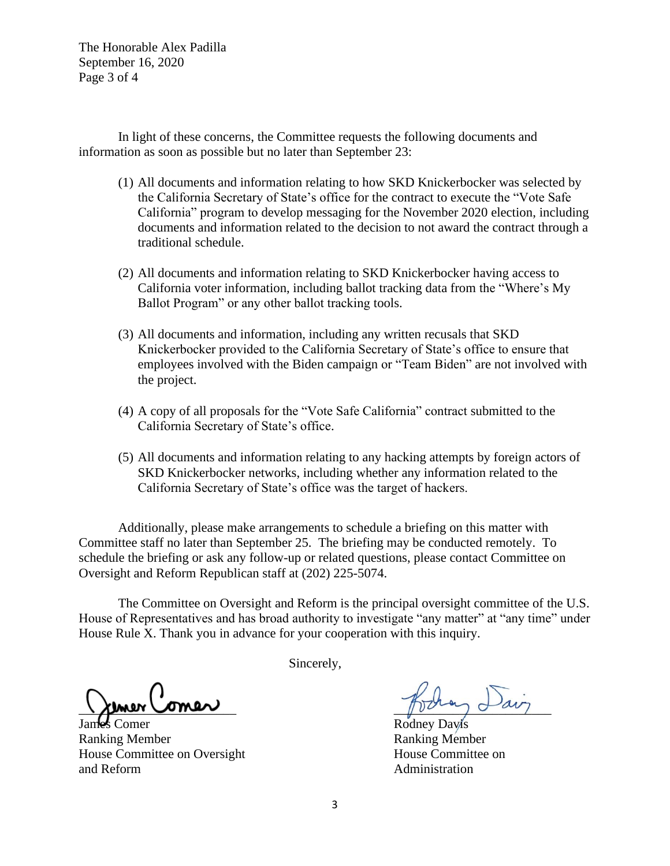The Honorable Alex Padilla September 16, 2020 Page 3 of 4

In light of these concerns, the Committee requests the following documents and information as soon as possible but no later than September 23:

- (1) All documents and information relating to how SKD Knickerbocker was selected by the California Secretary of State's office for the contract to execute the "Vote Safe California" program to develop messaging for the November 2020 election, including documents and information related to the decision to not award the contract through a traditional schedule.
- (2) All documents and information relating to SKD Knickerbocker having access to California voter information, including ballot tracking data from the "Where's My Ballot Program" or any other ballot tracking tools.
- (3) All documents and information, including any written recusals that SKD Knickerbocker provided to the California Secretary of State's office to ensure that employees involved with the Biden campaign or "Team Biden" are not involved with the project.
- (4) A copy of all proposals for the "Vote Safe California" contract submitted to the California Secretary of State's office.
- (5) All documents and information relating to any hacking attempts by foreign actors of SKD Knickerbocker networks, including whether any information related to the California Secretary of State's office was the target of hackers.

Additionally, please make arrangements to schedule a briefing on this matter with Committee staff no later than September 25. The briefing may be conducted remotely. To schedule the briefing or ask any follow-up or related questions, please contact Committee on Oversight and Reform Republican staff at (202) 225-5074.

The Committee on Oversight and Reform is the principal oversight committee of the U.S. House of Representatives and has broad authority to investigate "any matter" at "any time" under House Rule X. Thank you in advance for your cooperation with this inquiry.

Sincerely,

 $\chi$  mer comer

Rodney Davis

Ranking Member Ranking Member House Committee on Oversight House Committee on and Reform and Reform Administration